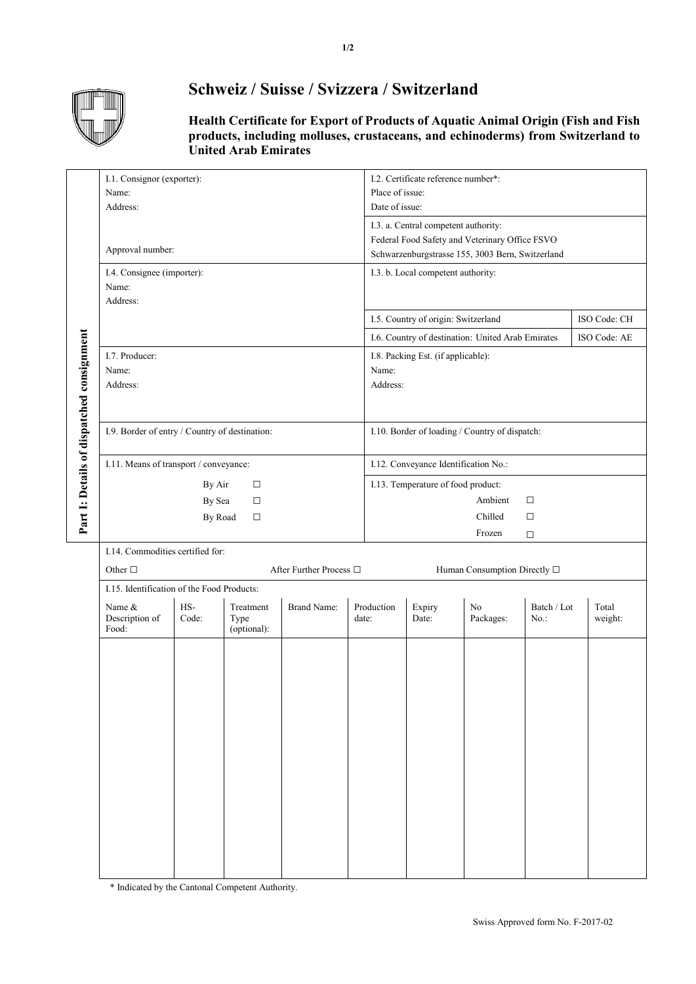

## **Schweiz / Suisse / Svizzera / Switzerland**

**Health Certificate for Export of Products of Aquatic Animal Origin (Fish and Fish products, including molluses, crustaceans, and echinoderms) from Switzerland to United Arab Emirates**

|                                           | I.1. Consignor (exporter):<br>Name:<br>Address: |              |                                  |                    |       | I.2. Certificate reference number*:<br>Place of issue:<br>Date of issue: |                                                                                                         |                 |                        |                  |  |  |
|-------------------------------------------|-------------------------------------------------|--------------|----------------------------------|--------------------|-------|--------------------------------------------------------------------------|---------------------------------------------------------------------------------------------------------|-----------------|------------------------|------------------|--|--|
|                                           |                                                 |              |                                  |                    |       |                                                                          |                                                                                                         |                 |                        |                  |  |  |
|                                           |                                                 |              |                                  |                    |       |                                                                          | I.3. a. Central competent authority:<br>Federal Food Safety and Veterinary Office FSVO                  |                 |                        |                  |  |  |
|                                           | Approval number:                                |              |                                  |                    |       | Schwarzenburgstrasse 155, 3003 Bern, Switzerland                         |                                                                                                         |                 |                        |                  |  |  |
|                                           | I.4. Consignee (importer):                      |              |                                  |                    |       | I.3. b. Local competent authority:                                       |                                                                                                         |                 |                        |                  |  |  |
|                                           | Name:<br>Address:                               |              |                                  |                    |       |                                                                          |                                                                                                         |                 |                        |                  |  |  |
|                                           |                                                 |              |                                  |                    |       | I.5. Country of origin: Switzerland<br>ISO Code: CH                      |                                                                                                         |                 |                        |                  |  |  |
|                                           |                                                 |              |                                  |                    |       |                                                                          |                                                                                                         |                 |                        |                  |  |  |
|                                           | I.7. Producer:                                  |              |                                  |                    |       |                                                                          | I.6. Country of destination: United Arab Emirates<br>ISO Code: AE<br>I.8. Packing Est. (if applicable): |                 |                        |                  |  |  |
|                                           | Name:                                           |              |                                  |                    |       | Name:                                                                    |                                                                                                         |                 |                        |                  |  |  |
|                                           | Address:                                        |              |                                  |                    |       | Address:                                                                 |                                                                                                         |                 |                        |                  |  |  |
|                                           |                                                 |              |                                  |                    |       |                                                                          |                                                                                                         |                 |                        |                  |  |  |
|                                           | I.9. Border of entry / Country of destination:  |              |                                  |                    |       | I.10. Border of loading / Country of dispatch:                           |                                                                                                         |                 |                        |                  |  |  |
| Part 1: Details of dispatched consignment |                                                 |              |                                  |                    |       |                                                                          |                                                                                                         |                 |                        |                  |  |  |
|                                           | I.11. Means of transport / conveyance:          |              |                                  |                    |       | I.12. Conveyance Identification No.:                                     |                                                                                                         |                 |                        |                  |  |  |
|                                           | By Air<br>$\Box$<br>By Sea<br>$\Box$            |              |                                  |                    |       | I.13. Temperature of food product:<br>Ambient<br>$\Box$                  |                                                                                                         |                 |                        |                  |  |  |
|                                           |                                                 | By Road      | $\Box$                           |                    |       | Chilled<br>$\Box$                                                        |                                                                                                         |                 |                        |                  |  |  |
|                                           |                                                 |              |                                  |                    |       | Frozen<br>$\Box$                                                         |                                                                                                         |                 |                        |                  |  |  |
|                                           | I.14. Commodities certified for:                |              |                                  |                    |       |                                                                          |                                                                                                         |                 |                        |                  |  |  |
|                                           | After Further Process $\Box$<br>Other $\square$ |              |                                  |                    |       | Human Consumption Directly $\square$                                     |                                                                                                         |                 |                        |                  |  |  |
|                                           | I.15. Identification of the Food Products:      |              |                                  |                    |       |                                                                          |                                                                                                         |                 |                        |                  |  |  |
|                                           | Name &<br>Description of<br>Food:               | HS-<br>Code: | Treatment<br>Type<br>(optional): | <b>Brand Name:</b> | date: | Production                                                               | Expiry<br>Date:                                                                                         | No<br>Packages: | Batch / Lot<br>$No.$ : | Total<br>weight: |  |  |
|                                           |                                                 |              |                                  |                    |       |                                                                          |                                                                                                         |                 |                        |                  |  |  |
|                                           |                                                 |              |                                  |                    |       |                                                                          |                                                                                                         |                 |                        |                  |  |  |
|                                           |                                                 |              |                                  |                    |       |                                                                          |                                                                                                         |                 |                        |                  |  |  |
|                                           |                                                 |              |                                  |                    |       |                                                                          |                                                                                                         |                 |                        |                  |  |  |
|                                           |                                                 |              |                                  |                    |       |                                                                          |                                                                                                         |                 |                        |                  |  |  |
|                                           |                                                 |              |                                  |                    |       |                                                                          |                                                                                                         |                 |                        |                  |  |  |
|                                           |                                                 |              |                                  |                    |       |                                                                          |                                                                                                         |                 |                        |                  |  |  |
|                                           |                                                 |              |                                  |                    |       |                                                                          |                                                                                                         |                 |                        |                  |  |  |
|                                           |                                                 |              |                                  |                    |       |                                                                          |                                                                                                         |                 |                        |                  |  |  |
|                                           |                                                 |              |                                  |                    |       |                                                                          |                                                                                                         |                 |                        |                  |  |  |
|                                           |                                                 |              |                                  |                    |       |                                                                          |                                                                                                         |                 |                        |                  |  |  |
|                                           |                                                 |              |                                  |                    |       |                                                                          |                                                                                                         |                 |                        |                  |  |  |
|                                           |                                                 |              |                                  |                    |       |                                                                          |                                                                                                         |                 |                        |                  |  |  |
|                                           |                                                 |              |                                  |                    |       |                                                                          |                                                                                                         |                 |                        |                  |  |  |

\* Indicated by the Cantonal Competent Authority.